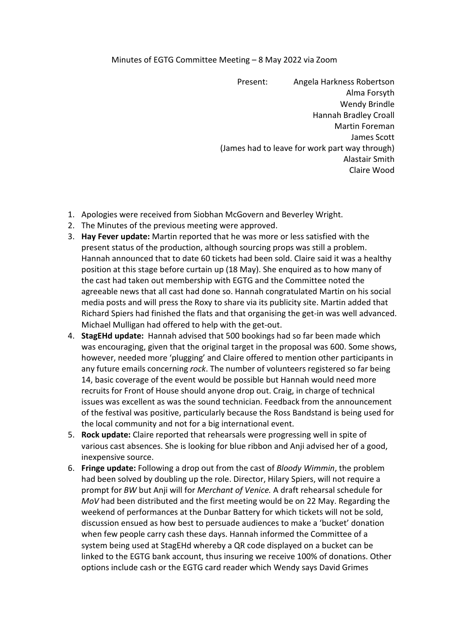## Minutes of EGTG Committee Meeting – 8 May 2022 via Zoom

Present: Angela Harkness Robertson Alma Forsyth Wendy Brindle Hannah Bradley Croall Martin Foreman James Scott (James had to leave for work part way through) Alastair Smith Claire Wood

- 1. Apologies were received from Siobhan McGovern and Beverley Wright.
- 2. The Minutes of the previous meeting were approved.
- 3. **Hay Fever update:** Martin reported that he was more or less satisfied with the present status of the production, although sourcing props was still a problem. Hannah announced that to date 60 tickets had been sold. Claire said it was a healthy position at this stage before curtain up (18 May). She enquired as to how many of the cast had taken out membership with EGTG and the Committee noted the agreeable news that all cast had done so. Hannah congratulated Martin on his social media posts and will press the Roxy to share via its publicity site. Martin added that Richard Spiers had finished the flats and that organising the get-in was well advanced. Michael Mulligan had offered to help with the get-out.
- 4. **StagEHd update:** Hannah advised that 500 bookings had so far been made which was encouraging, given that the original target in the proposal was 600. Some shows, however, needed more 'plugging' and Claire offered to mention other participants in any future emails concerning *rock*. The number of volunteers registered so far being 14, basic coverage of the event would be possible but Hannah would need more recruits for Front of House should anyone drop out. Craig, in charge of technical issues was excellent as was the sound technician. Feedback from the announcement of the festival was positive, particularly because the Ross Bandstand is being used for the local community and not for a big international event.
- 5. **Rock update:** Claire reported that rehearsals were progressing well in spite of various cast absences. She is looking for blue ribbon and Anji advised her of a good, inexpensive source.
- 6. **Fringe update:** Following a drop out from the cast of *Bloody Wimmin*, the problem had been solved by doubling up the role. Director, Hilary Spiers, will not require a prompt for *BW* but Anji will for *Merchant of Venice.* A draft rehearsal schedule for *MoV* had been distributed and the first meeting would be on 22 May. Regarding the weekend of performances atthe Dunbar Battery for which tickets will not be sold, discussion ensued as how best to persuade audiences to make a 'bucket' donation when few people carry cash these days. Hannah informed the Committee of a system being used at StagEHd whereby a QR code displayed on a bucket can be linked to the EGTG bank account, thus insuring we receive 100% of donations. Other options include cash or the EGTG card reader which Wendy says David Grimes